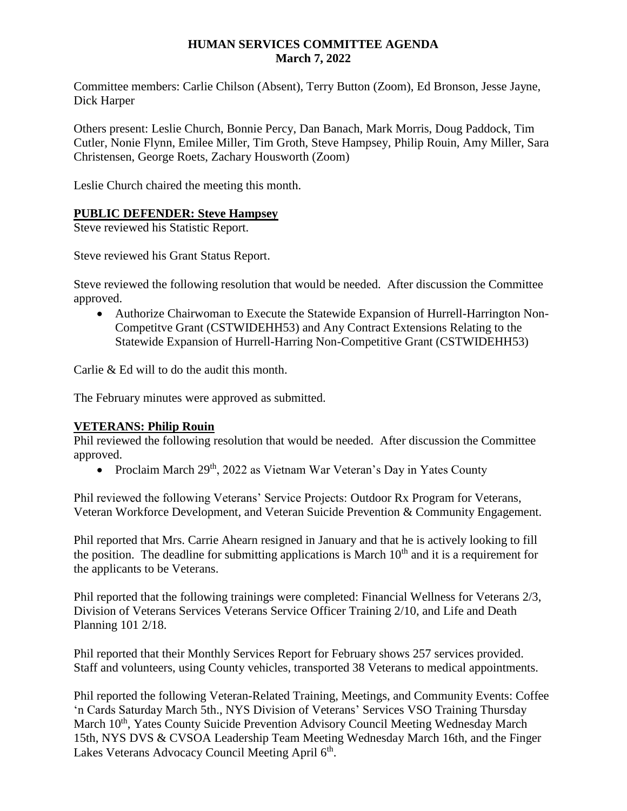### **HUMAN SERVICES COMMITTEE AGENDA March 7, 2022**

Committee members: Carlie Chilson (Absent), Terry Button (Zoom), Ed Bronson, Jesse Jayne, Dick Harper

Others present: Leslie Church, Bonnie Percy, Dan Banach, Mark Morris, Doug Paddock, Tim Cutler, Nonie Flynn, Emilee Miller, Tim Groth, Steve Hampsey, Philip Rouin, Amy Miller, Sara Christensen, George Roets, Zachary Housworth (Zoom)

Leslie Church chaired the meeting this month.

### **PUBLIC DEFENDER: Steve Hampsey**

Steve reviewed his Statistic Report.

Steve reviewed his Grant Status Report.

Steve reviewed the following resolution that would be needed. After discussion the Committee approved.

 Authorize Chairwoman to Execute the Statewide Expansion of Hurrell-Harrington Non-Competitve Grant (CSTWIDEHH53) and Any Contract Extensions Relating to the Statewide Expansion of Hurrell-Harring Non-Competitive Grant (CSTWIDEHH53)

Carlie & Ed will to do the audit this month.

The February minutes were approved as submitted.

#### **VETERANS: Philip Rouin**

Phil reviewed the following resolution that would be needed. After discussion the Committee approved.

• Proclaim March  $29<sup>th</sup>$ , 2022 as Vietnam War Veteran's Day in Yates County

Phil reviewed the following Veterans' Service Projects: Outdoor Rx Program for Veterans, Veteran Workforce Development, and Veteran Suicide Prevention & Community Engagement.

Phil reported that Mrs. Carrie Ahearn resigned in January and that he is actively looking to fill the position. The deadline for submitting applications is March  $10<sup>th</sup>$  and it is a requirement for the applicants to be Veterans.

Phil reported that the following trainings were completed: Financial Wellness for Veterans 2/3, Division of Veterans Services Veterans Service Officer Training 2/10, and Life and Death Planning 101 2/18.

Phil reported that their Monthly Services Report for February shows 257 services provided. Staff and volunteers, using County vehicles, transported 38 Veterans to medical appointments.

Phil reported the following Veteran-Related Training, Meetings, and Community Events: Coffee 'n Cards Saturday March 5th., NYS Division of Veterans' Services VSO Training Thursday March 10<sup>th</sup>, Yates County Suicide Prevention Advisory Council Meeting Wednesday March 15th, NYS DVS & CVSOA Leadership Team Meeting Wednesday March 16th, and the Finger Lakes Veterans Advocacy Council Meeting April 6<sup>th</sup>.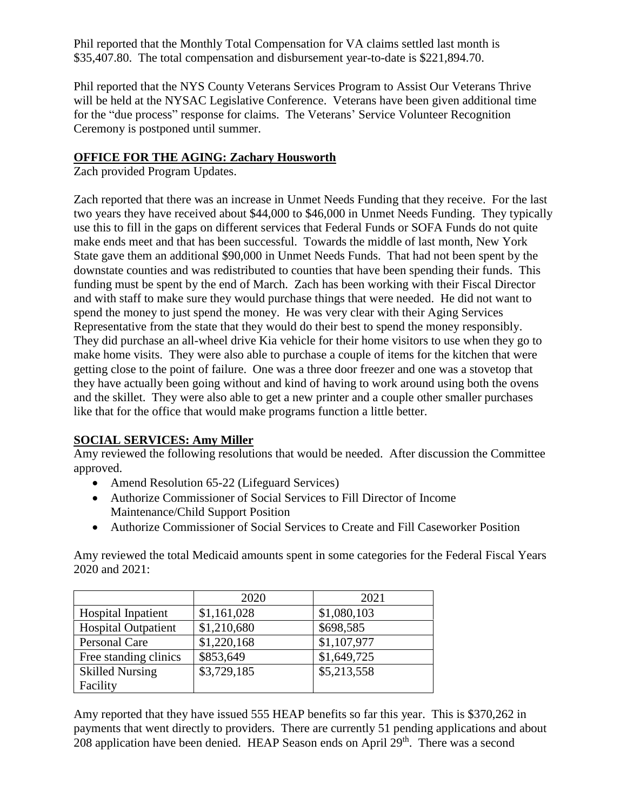Phil reported that the Monthly Total Compensation for VA claims settled last month is \$35,407.80. The total compensation and disbursement year-to-date is \$221,894.70.

Phil reported that the NYS County Veterans Services Program to Assist Our Veterans Thrive will be held at the NYSAC Legislative Conference. Veterans have been given additional time for the "due process" response for claims. The Veterans' Service Volunteer Recognition Ceremony is postponed until summer.

# **OFFICE FOR THE AGING: Zachary Housworth**

Zach provided Program Updates.

Zach reported that there was an increase in Unmet Needs Funding that they receive. For the last two years they have received about \$44,000 to \$46,000 in Unmet Needs Funding. They typically use this to fill in the gaps on different services that Federal Funds or SOFA Funds do not quite make ends meet and that has been successful. Towards the middle of last month, New York State gave them an additional \$90,000 in Unmet Needs Funds. That had not been spent by the downstate counties and was redistributed to counties that have been spending their funds. This funding must be spent by the end of March. Zach has been working with their Fiscal Director and with staff to make sure they would purchase things that were needed. He did not want to spend the money to just spend the money. He was very clear with their Aging Services Representative from the state that they would do their best to spend the money responsibly. They did purchase an all-wheel drive Kia vehicle for their home visitors to use when they go to make home visits. They were also able to purchase a couple of items for the kitchen that were getting close to the point of failure. One was a three door freezer and one was a stovetop that they have actually been going without and kind of having to work around using both the ovens and the skillet. They were also able to get a new printer and a couple other smaller purchases like that for the office that would make programs function a little better.

# **SOCIAL SERVICES: Amy Miller**

Amy reviewed the following resolutions that would be needed. After discussion the Committee approved.

- Amend Resolution 65-22 (Lifeguard Services)
- Authorize Commissioner of Social Services to Fill Director of Income Maintenance/Child Support Position
- Authorize Commissioner of Social Services to Create and Fill Caseworker Position

Amy reviewed the total Medicaid amounts spent in some categories for the Federal Fiscal Years 2020 and 2021:

|                            | 2020        | 2021        |
|----------------------------|-------------|-------------|
| <b>Hospital Inpatient</b>  | \$1,161,028 | \$1,080,103 |
| <b>Hospital Outpatient</b> | \$1,210,680 | \$698,585   |
| Personal Care              | \$1,220,168 | \$1,107,977 |
| Free standing clinics      | \$853,649   | \$1,649,725 |
| <b>Skilled Nursing</b>     | \$3,729,185 | \$5,213,558 |
| Facility                   |             |             |

Amy reported that they have issued 555 HEAP benefits so far this year. This is \$370,262 in payments that went directly to providers. There are currently 51 pending applications and about 208 application have been denied. HEAP Season ends on April  $29<sup>th</sup>$ . There was a second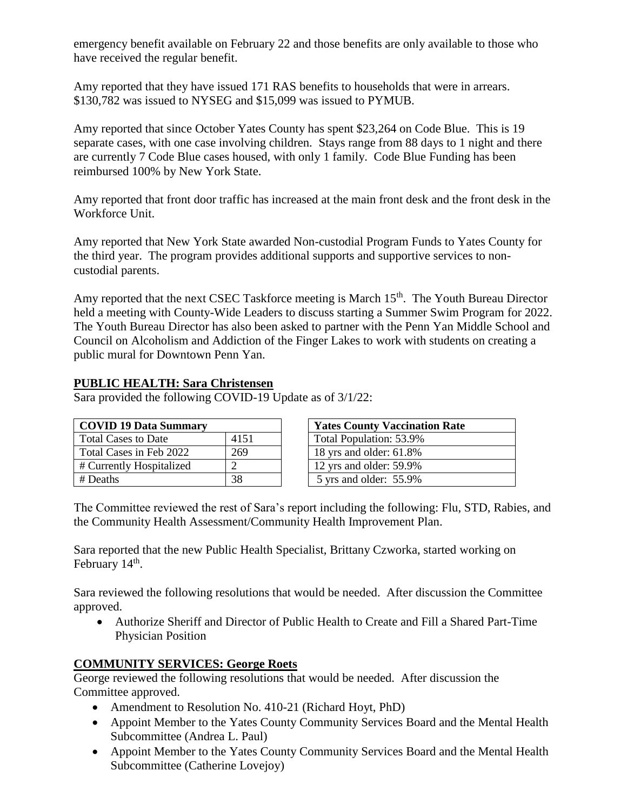emergency benefit available on February 22 and those benefits are only available to those who have received the regular benefit.

Amy reported that they have issued 171 RAS benefits to households that were in arrears. \$130,782 was issued to NYSEG and \$15,099 was issued to PYMUB.

Amy reported that since October Yates County has spent \$23,264 on Code Blue. This is 19 separate cases, with one case involving children. Stays range from 88 days to 1 night and there are currently 7 Code Blue cases housed, with only 1 family. Code Blue Funding has been reimbursed 100% by New York State.

Amy reported that front door traffic has increased at the main front desk and the front desk in the Workforce Unit.

Amy reported that New York State awarded Non-custodial Program Funds to Yates County for the third year. The program provides additional supports and supportive services to noncustodial parents.

Amy reported that the next CSEC Taskforce meeting is March  $15<sup>th</sup>$ . The Youth Bureau Director held a meeting with County-Wide Leaders to discuss starting a Summer Swim Program for 2022. The Youth Bureau Director has also been asked to partner with the Penn Yan Middle School and Council on Alcoholism and Addiction of the Finger Lakes to work with students on creating a public mural for Downtown Penn Yan.

## **PUBLIC HEALTH: Sara Christensen**

Sara provided the following COVID-19 Update as of 3/1/22:

| <b>COVID 19 Data Summary</b> |      |  |
|------------------------------|------|--|
| <b>Total Cases to Date</b>   | 4151 |  |
| Total Cases in Feb 2022      | 269  |  |
| # Currently Hospitalized     |      |  |
| # Deaths                     |      |  |

| <b>Yates County Vaccination Rate</b> |  |  |
|--------------------------------------|--|--|
| Total Population: 53.9%              |  |  |
| 18 yrs and older: 61.8%              |  |  |
| 12 yrs and older: 59.9%              |  |  |
| 5 yrs and older: 55.9%               |  |  |

The Committee reviewed the rest of Sara's report including the following: Flu, STD, Rabies, and the Community Health Assessment/Community Health Improvement Plan.

Sara reported that the new Public Health Specialist, Brittany Czworka, started working on February 14<sup>th</sup>.

Sara reviewed the following resolutions that would be needed. After discussion the Committee approved.

 Authorize Sheriff and Director of Public Health to Create and Fill a Shared Part-Time Physician Position

## **COMMUNITY SERVICES: George Roets**

George reviewed the following resolutions that would be needed. After discussion the Committee approved.

- Amendment to Resolution No. 410-21 (Richard Hoyt, PhD)
- Appoint Member to the Yates County Community Services Board and the Mental Health Subcommittee (Andrea L. Paul)
- Appoint Member to the Yates County Community Services Board and the Mental Health Subcommittee (Catherine Lovejoy)